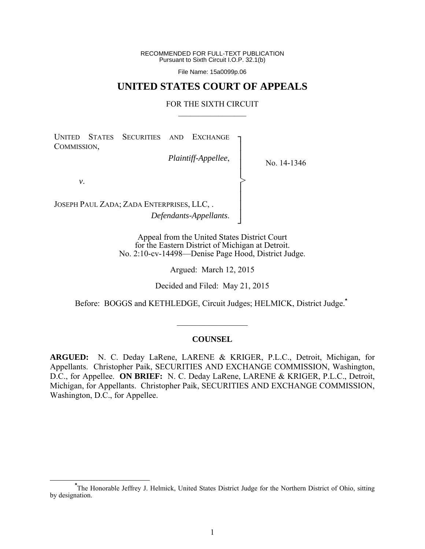RECOMMENDED FOR FULL-TEXT PUBLICATION Pursuant to Sixth Circuit I.O.P. 32.1(b)

File Name: 15a0099p.06

# **UNITED STATES COURT OF APPEALS**

# FOR THE SIXTH CIRCUIT  $\mathcal{L}_\text{max}$

│ │ │ │ │ │ ┘

>

UNITED STATES SECURITIES AND EXCHANGE COMMISSION, ┐ │ │

*Plaintiff-Appellee*,

No. 14-1346

*v*.

JOSEPH PAUL ZADA; ZADA ENTERPRISES, LLC, . *Defendants-Appellants*.

> Appeal from the United States District Court for the Eastern District of Michigan at Detroit. No. 2:10-cv-14498—Denise Page Hood, District Judge.

> > Argued: March 12, 2015

Decided and Filed: May 21, 2015

Before: BOGGS and KETHLEDGE, Circuit Judges; HELMICK, District Judge.**\***

# **COUNSEL**

 $\mathcal{L}_\text{max}$ 

**ARGUED:** N. C. Deday LaRene, LARENE & KRIGER, P.L.C., Detroit, Michigan, for Appellants. Christopher Paik, SECURITIES AND EXCHANGE COMMISSION, Washington, D.C., for Appellee. **ON BRIEF:** N. C. Deday LaRene, LARENE & KRIGER, P.L.C., Detroit, Michigan, for Appellants. Christopher Paik, SECURITIES AND EXCHANGE COMMISSION, Washington, D.C., for Appellee.

**\*** The Honorable Jeffrey J. Helmick, United States District Judge for the Northern District of Ohio, sitting by designation.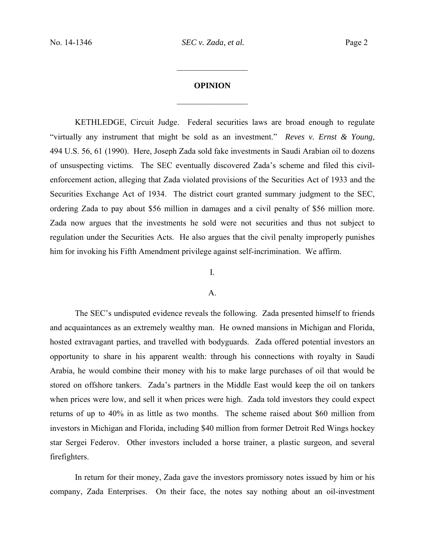# **OPINION**  $\frac{1}{2}$  ,  $\frac{1}{2}$  ,  $\frac{1}{2}$  ,  $\frac{1}{2}$  ,  $\frac{1}{2}$  ,  $\frac{1}{2}$  ,  $\frac{1}{2}$  ,  $\frac{1}{2}$  ,  $\frac{1}{2}$

 $\frac{1}{2}$  ,  $\frac{1}{2}$  ,  $\frac{1}{2}$  ,  $\frac{1}{2}$  ,  $\frac{1}{2}$  ,  $\frac{1}{2}$  ,  $\frac{1}{2}$  ,  $\frac{1}{2}$  ,  $\frac{1}{2}$ 

 KETHLEDGE, Circuit Judge. Federal securities laws are broad enough to regulate "virtually any instrument that might be sold as an investment." *Reves v. Ernst & Young*, 494 U.S. 56, 61 (1990). Here, Joseph Zada sold fake investments in Saudi Arabian oil to dozens of unsuspecting victims. The SEC eventually discovered Zada's scheme and filed this civilenforcement action, alleging that Zada violated provisions of the Securities Act of 1933 and the Securities Exchange Act of 1934. The district court granted summary judgment to the SEC, ordering Zada to pay about \$56 million in damages and a civil penalty of \$56 million more. Zada now argues that the investments he sold were not securities and thus not subject to regulation under the Securities Acts. He also argues that the civil penalty improperly punishes him for invoking his Fifth Amendment privilege against self-incrimination. We affirm.

# I.

#### $A<sub>1</sub>$

 The SEC's undisputed evidence reveals the following. Zada presented himself to friends and acquaintances as an extremely wealthy man. He owned mansions in Michigan and Florida, hosted extravagant parties, and travelled with bodyguards. Zada offered potential investors an opportunity to share in his apparent wealth: through his connections with royalty in Saudi Arabia, he would combine their money with his to make large purchases of oil that would be stored on offshore tankers. Zada's partners in the Middle East would keep the oil on tankers when prices were low, and sell it when prices were high. Zada told investors they could expect returns of up to 40% in as little as two months. The scheme raised about \$60 million from investors in Michigan and Florida, including \$40 million from former Detroit Red Wings hockey star Sergei Federov. Other investors included a horse trainer, a plastic surgeon, and several firefighters.

In return for their money, Zada gave the investors promissory notes issued by him or his company, Zada Enterprises. On their face, the notes say nothing about an oil-investment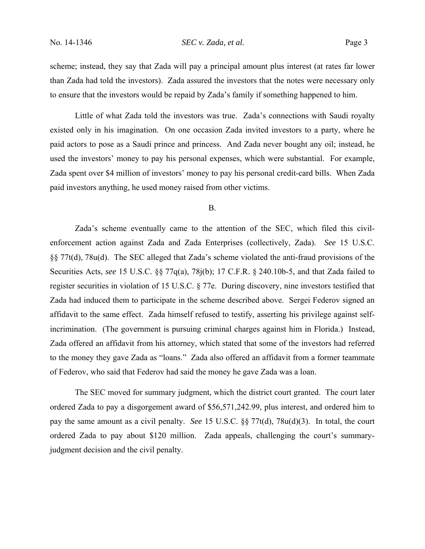# No. 14-1346 *SEC v. Zada, et al.* Page 3

scheme; instead, they say that Zada will pay a principal amount plus interest (at rates far lower than Zada had told the investors). Zada assured the investors that the notes were necessary only to ensure that the investors would be repaid by Zada's family if something happened to him.

 Little of what Zada told the investors was true. Zada's connections with Saudi royalty existed only in his imagination. On one occasion Zada invited investors to a party, where he paid actors to pose as a Saudi prince and princess. And Zada never bought any oil; instead, he used the investors' money to pay his personal expenses, which were substantial. For example, Zada spent over \$4 million of investors' money to pay his personal credit-card bills. When Zada paid investors anything, he used money raised from other victims.

### B.

 Zada's scheme eventually came to the attention of the SEC, which filed this civilenforcement action against Zada and Zada Enterprises (collectively, Zada). *See* 15 U.S.C. §§ 77t(d), 78u(d). The SEC alleged that Zada's scheme violated the anti-fraud provisions of the Securities Acts, *see* 15 U.S.C. §§ 77q(a), 78j(b); 17 C.F.R. § 240.10b-5, and that Zada failed to register securities in violation of 15 U.S.C. § 77e. During discovery, nine investors testified that Zada had induced them to participate in the scheme described above. Sergei Federov signed an affidavit to the same effect. Zada himself refused to testify, asserting his privilege against selfincrimination. (The government is pursuing criminal charges against him in Florida.) Instead, Zada offered an affidavit from his attorney, which stated that some of the investors had referred to the money they gave Zada as "loans." Zada also offered an affidavit from a former teammate of Federov, who said that Federov had said the money he gave Zada was a loan.

 The SEC moved for summary judgment, which the district court granted. The court later ordered Zada to pay a disgorgement award of \$56,571,242.99, plus interest, and ordered him to pay the same amount as a civil penalty. *See* 15 U.S.C. §§ 77t(d), 78u(d)(3). In total, the court ordered Zada to pay about \$120 million. Zada appeals, challenging the court's summaryjudgment decision and the civil penalty.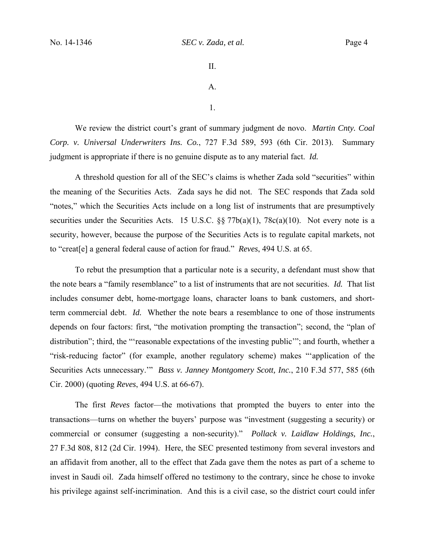II. A.

1.

 We review the district court's grant of summary judgment de novo. *Martin Cnty. Coal Corp. v. Universal Underwriters Ins. Co.*, 727 F.3d 589, 593 (6th Cir. 2013). Summary judgment is appropriate if there is no genuine dispute as to any material fact. *Id.*

 A threshold question for all of the SEC's claims is whether Zada sold "securities" within the meaning of the Securities Acts. Zada says he did not. The SEC responds that Zada sold "notes," which the Securities Acts include on a long list of instruments that are presumptively securities under the Securities Acts. 15 U.S.C. §§ 77b(a)(1), 78c(a)(10). Not every note is a security, however, because the purpose of the Securities Acts is to regulate capital markets, not to "creat[e] a general federal cause of action for fraud." *Reves*, 494 U.S. at 65.

To rebut the presumption that a particular note is a security, a defendant must show that the note bears a "family resemblance" to a list of instruments that are not securities. *Id.* That list includes consumer debt, home-mortgage loans, character loans to bank customers, and shortterm commercial debt. *Id.* Whether the note bears a resemblance to one of those instruments depends on four factors: first, "the motivation prompting the transaction"; second, the "plan of distribution"; third, the "'reasonable expectations of the investing public'"; and fourth, whether a "risk-reducing factor" (for example, another regulatory scheme) makes "'application of the Securities Acts unnecessary.'" *Bass v. Janney Montgomery Scott, Inc.*, 210 F.3d 577, 585 (6th Cir. 2000) (quoting *Reves*, 494 U.S. at 66-67).

The first *Reves* factor—the motivations that prompted the buyers to enter into the transactions—turns on whether the buyers' purpose was "investment (suggesting a security) or commercial or consumer (suggesting a non-security)." *Pollack v. Laidlaw Holdings, Inc.*, 27 F.3d 808, 812 (2d Cir. 1994). Here, the SEC presented testimony from several investors and an affidavit from another, all to the effect that Zada gave them the notes as part of a scheme to invest in Saudi oil. Zada himself offered no testimony to the contrary, since he chose to invoke his privilege against self-incrimination. And this is a civil case, so the district court could infer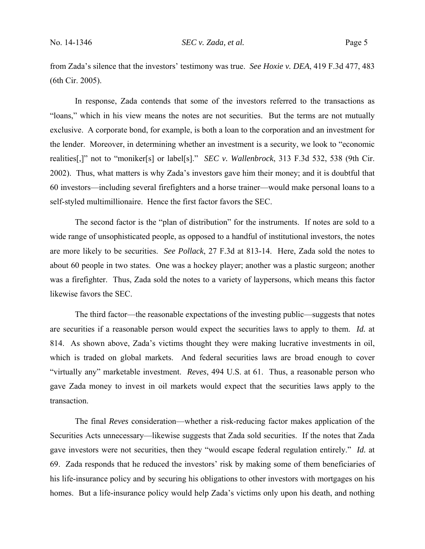from Zada's silence that the investors' testimony was true. *See Hoxie v. DEA*, 419 F.3d 477, 483 (6th Cir. 2005).

In response, Zada contends that some of the investors referred to the transactions as "loans," which in his view means the notes are not securities. But the terms are not mutually exclusive. A corporate bond, for example, is both a loan to the corporation and an investment for the lender. Moreover, in determining whether an investment is a security, we look to "economic realities[,]" not to "moniker[s] or label[s]." *SEC v. Wallenbrock*, 313 F.3d 532, 538 (9th Cir. 2002). Thus, what matters is why Zada's investors gave him their money; and it is doubtful that 60 investors—including several firefighters and a horse trainer—would make personal loans to a self-styled multimillionaire. Hence the first factor favors the SEC.

 The second factor is the "plan of distribution" for the instruments. If notes are sold to a wide range of unsophisticated people, as opposed to a handful of institutional investors, the notes are more likely to be securities. *See Pollack*, 27 F.3d at 813-14. Here, Zada sold the notes to about 60 people in two states. One was a hockey player; another was a plastic surgeon; another was a firefighter. Thus, Zada sold the notes to a variety of laypersons, which means this factor likewise favors the SEC.

 The third factor—the reasonable expectations of the investing public—suggests that notes are securities if a reasonable person would expect the securities laws to apply to them. *Id.* at 814. As shown above, Zada's victims thought they were making lucrative investments in oil, which is traded on global markets. And federal securities laws are broad enough to cover "virtually any" marketable investment. *Reves*, 494 U.S. at 61. Thus, a reasonable person who gave Zada money to invest in oil markets would expect that the securities laws apply to the transaction.

 The final *Reves* consideration—whether a risk-reducing factor makes application of the Securities Acts unnecessary—likewise suggests that Zada sold securities. If the notes that Zada gave investors were not securities, then they "would escape federal regulation entirely." *Id.* at 69. Zada responds that he reduced the investors' risk by making some of them beneficiaries of his life-insurance policy and by securing his obligations to other investors with mortgages on his homes. But a life-insurance policy would help Zada's victims only upon his death, and nothing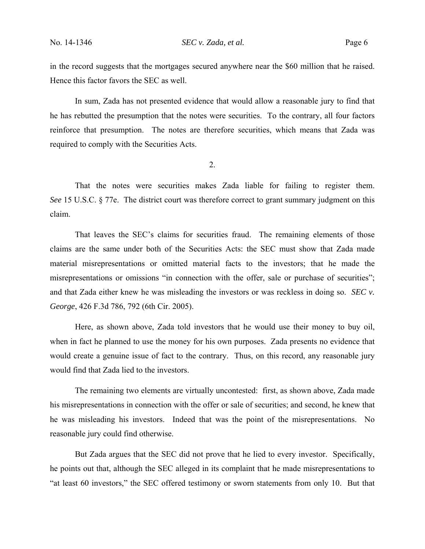in the record suggests that the mortgages secured anywhere near the \$60 million that he raised. Hence this factor favors the SEC as well.

 In sum, Zada has not presented evidence that would allow a reasonable jury to find that he has rebutted the presumption that the notes were securities. To the contrary, all four factors reinforce that presumption. The notes are therefore securities, which means that Zada was required to comply with the Securities Acts.

2.

That the notes were securities makes Zada liable for failing to register them. *See* 15 U.S.C. § 77e. The district court was therefore correct to grant summary judgment on this claim.

That leaves the SEC's claims for securities fraud. The remaining elements of those claims are the same under both of the Securities Acts: the SEC must show that Zada made material misrepresentations or omitted material facts to the investors; that he made the misrepresentations or omissions "in connection with the offer, sale or purchase of securities"; and that Zada either knew he was misleading the investors or was reckless in doing so. *SEC v. George*, 426 F.3d 786, 792 (6th Cir. 2005).

Here, as shown above, Zada told investors that he would use their money to buy oil, when in fact he planned to use the money for his own purposes. Zada presents no evidence that would create a genuine issue of fact to the contrary. Thus, on this record, any reasonable jury would find that Zada lied to the investors.

The remaining two elements are virtually uncontested: first, as shown above, Zada made his misrepresentations in connection with the offer or sale of securities; and second, he knew that he was misleading his investors. Indeed that was the point of the misrepresentations. No reasonable jury could find otherwise.

But Zada argues that the SEC did not prove that he lied to every investor. Specifically, he points out that, although the SEC alleged in its complaint that he made misrepresentations to "at least 60 investors," the SEC offered testimony or sworn statements from only 10. But that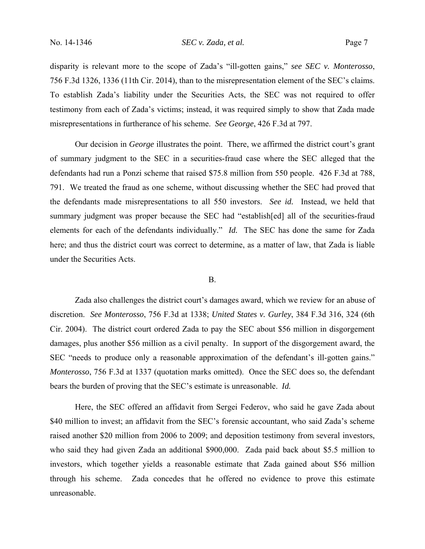disparity is relevant more to the scope of Zada's "ill-gotten gains," *see SEC v. Monterosso*, 756 F.3d 1326, 1336 (11th Cir. 2014), than to the misrepresentation element of the SEC's claims. To establish Zada's liability under the Securities Acts, the SEC was not required to offer testimony from each of Zada's victims; instead, it was required simply to show that Zada made misrepresentations in furtherance of his scheme. *See George*, 426 F.3d at 797.

Our decision in *George* illustrates the point. There, we affirmed the district court's grant of summary judgment to the SEC in a securities-fraud case where the SEC alleged that the defendants had run a Ponzi scheme that raised \$75.8 million from 550 people. 426 F.3d at 788, 791. We treated the fraud as one scheme, without discussing whether the SEC had proved that the defendants made misrepresentations to all 550 investors. *See id.* Instead, we held that summary judgment was proper because the SEC had "establish[ed] all of the securities-fraud elements for each of the defendants individually." *Id.* The SEC has done the same for Zada here; and thus the district court was correct to determine, as a matter of law, that Zada is liable under the Securities Acts.

### B.

 Zada also challenges the district court's damages award, which we review for an abuse of discretion. *See Monterosso*, 756 F.3d at 1338; *United States v. Gurley*, 384 F.3d 316, 324 (6th Cir. 2004). The district court ordered Zada to pay the SEC about \$56 million in disgorgement damages, plus another \$56 million as a civil penalty. In support of the disgorgement award, the SEC "needs to produce only a reasonable approximation of the defendant's ill-gotten gains." *Monterosso*, 756 F.3d at 1337 (quotation marks omitted). Once the SEC does so, the defendant bears the burden of proving that the SEC's estimate is unreasonable. *Id.*

Here, the SEC offered an affidavit from Sergei Federov, who said he gave Zada about \$40 million to invest; an affidavit from the SEC's forensic accountant, who said Zada's scheme raised another \$20 million from 2006 to 2009; and deposition testimony from several investors, who said they had given Zada an additional \$900,000. Zada paid back about \$5.5 million to investors, which together yields a reasonable estimate that Zada gained about \$56 million through his scheme. Zada concedes that he offered no evidence to prove this estimate unreasonable.